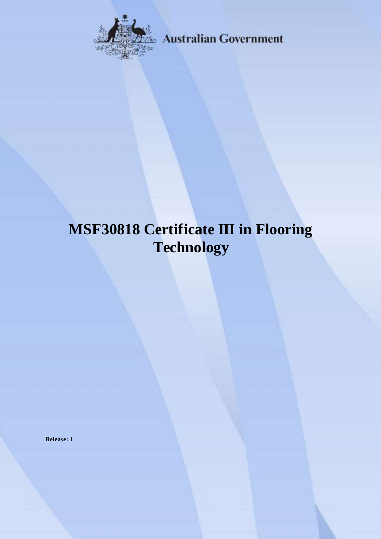

**Australian Government** 

# **MSF30818 Certificate III in Flooring Technology**

**Release: 1**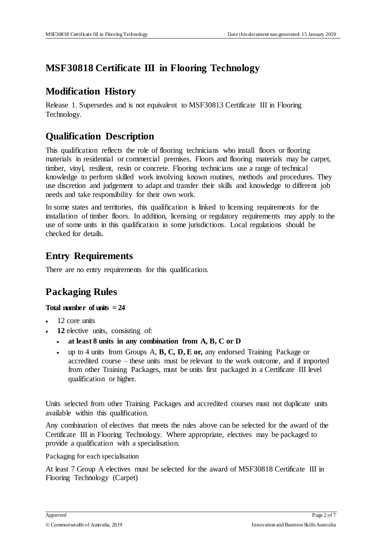### **MSF30818 Certificate III in Flooring Technology**

### **Modification History**

Release 1. Supersedes and is not equivalent to MSF30813 Certificate III in Flooring Technology.

### **Qualification Description**

This qualification reflects the role of flooring technicians who install floors or flooring materials in residential or commercial premises. Floors and flooring materials may be carpet, timber, vinyl, resilient, resin or concrete. Flooring technicians use a range of technical knowledge to perform skilled work involving known routines, methods and procedures. They use discretion and judgement to adapt and transfer their skills and knowledge to different job needs and take responsibility for their own work.

In some states and territories, this qualification is linked to licensing requirements for the installation of timber floors. In addition, licensing or regulatory requirements may apply to the use of some units in this qualification in some jurisdictions. Local regulations should be checked for details.

### **Entry Requirements**

There are no entry requirements for this qualification.

## **Packaging Rules**

#### **Total number of units = 24**

- 12 core units
- **12** elective units, consisting of:
	- **at least 8 units in any combination from A, B, C or D**
	- up to 4 units from Groups A, **B, C, D, E or,** any endorsed Training Package or accredited course – these units must be relevant to the work outcome, and if imported from other Training Packages, must be units first packaged in a Certificate III level qualification or higher.

Units selected from other Training Packages and accredited courses must not duplicate units available within this qualification.

Any combination of electives that meets the rules above can be selected for the award of the Certificate III in Flooring Technology. Where appropriate, electives may be packaged to provide a qualification with a specialisation.

Packaging for each specialisation

At least 7 Group A electives must be selected for the award of MSF30818 Certificate III in Flooring Technology (Carpet)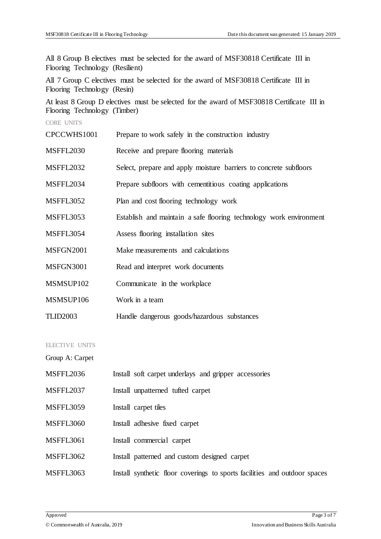All 8 Group B electives must be selected for the award of MSF30818 Certificate III in Flooring Technology (Resilient)

All 7 Group C electives must be selected for the award of MSF30818 Certificate III in Flooring Technology (Resin)

At least 8 Group D electives must be selected for the award of MSF30818 Certificate III in Flooring Technology (Timber)

CORE UNITS

| CPCCWHS1001      | Prepare to work safely in the construction industry                |
|------------------|--------------------------------------------------------------------|
| <b>MSFFL2030</b> | Receive and prepare flooring materials                             |
| <b>MSFFL2032</b> | Select, prepare and apply moisture barriers to concrete subfloors  |
| MSFFL2034        | Prepare subfloors with cementitious coating applications           |
| <b>MSFFL3052</b> | Plan and cost flooring technology work                             |
| <b>MSFFL3053</b> | Establish and maintain a safe flooring technology work environment |
| MSFFL3054        | Assess flooring installation sites                                 |
| <b>MSFGN2001</b> | Make measurements and calculations                                 |
| MSFGN3001        | Read and interpret work documents                                  |
| MSMSUP102        | Communicate in the workplace                                       |
| MSMSUP106        | Work in a team                                                     |
| <b>TLID2003</b>  | Handle dangerous goods/hazardous substances                        |
|                  |                                                                    |

#### ELECTIVE UNITS

Group A: Carpet

| MSFFL2036        | Install soft carpet underlays and gripper accessories                     |
|------------------|---------------------------------------------------------------------------|
| MSFFL2037        | Install unpatterned tufted carpet                                         |
| MSFFL3059        | Install carpet tiles                                                      |
| MSFFL3060        | Install adhesive fixed carpet                                             |
| <b>MSFFL3061</b> | Install commercial carpet                                                 |
| MSFFL3062        | Install patterned and custom designed carpet                              |
| MSFFL3063        | Install synthetic floor coverings to sports facilities and outdoor spaces |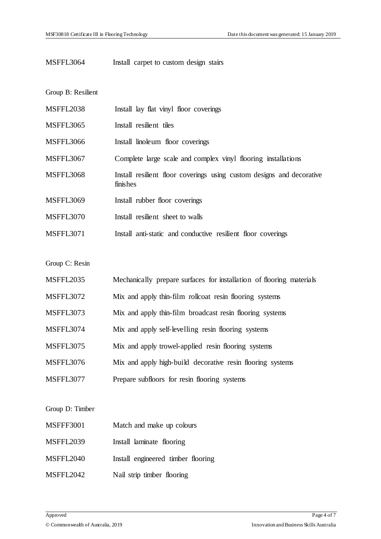#### MSFFL3064 Install carpet to custom design stairs

Group B: Resilient

| <b>MSFFL2038</b> | Install lay flat vinyl floor coverings                                            |
|------------------|-----------------------------------------------------------------------------------|
| <b>MSFFL3065</b> | Install resilient tiles                                                           |
| <b>MSFFL3066</b> | Install linoleum floor coverings                                                  |
| <b>MSFFL3067</b> | Complete large scale and complex vinyl flooring installations                     |
| <b>MSFFL3068</b> | Install resilient floor coverings using custom designs and decorative<br>finishes |
| <b>MSFFL3069</b> | Install rubber floor coverings                                                    |
| MSFFL3070        | Install resilient sheet to walls                                                  |
| <b>MSFFL3071</b> | Install anti-static and conductive resilient floor coverings                      |
|                  |                                                                                   |
| Group C: Resin   |                                                                                   |
| MSFFL2035        | Mechanically prepare surfaces for installation of flooring materials              |
| <b>MSFFL3072</b> | Mix and apply thin-film rollcoat resin flooring systems                           |
| <b>MSFFL3073</b> | Mix and apply thin-film broadcast resin flooring systems                          |
| MSFFL3074        | Mix and apply self-levelling resin flooring systems                               |
| <b>MSFFL3075</b> | Mix and apply trowel-applied resin flooring systems                               |
| <b>MSFFL3076</b> | Mix and apply high-build decorative resin flooring systems                        |
|                  |                                                                                   |

MSFFL3077 Prepare subfloors for resin flooring systems

Group D: Timber

| Match and make up colours |
|---------------------------|
|                           |

- MSFFL2039 Install laminate flooring
- MSFFL2040 Install engineered timber flooring
- MSFFL2042 Nail strip timber flooring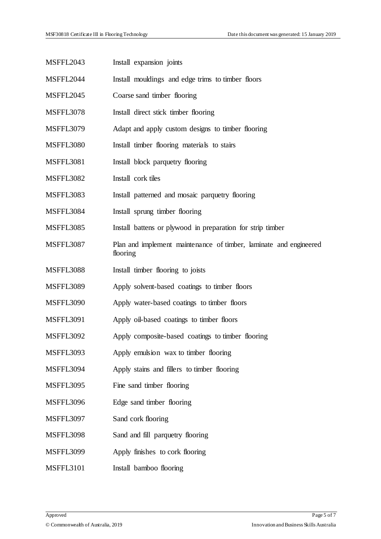| MSFFL2043        | Install expansion joints                                                      |
|------------------|-------------------------------------------------------------------------------|
| MSFFL2044        | Install mouldings and edge trims to timber floors                             |
| <b>MSFFL2045</b> | Coarse sand timber flooring                                                   |
| <b>MSFFL3078</b> | Install direct stick timber flooring                                          |
| <b>MSFFL3079</b> | Adapt and apply custom designs to timber flooring                             |
| <b>MSFFL3080</b> | Install timber flooring materials to stairs                                   |
| <b>MSFFL3081</b> | Install block parquetry flooring                                              |
| <b>MSFFL3082</b> | Install cork tiles                                                            |
| <b>MSFFL3083</b> | Install patterned and mosaic parquetry flooring                               |
| MSFFL3084        | Install sprung timber flooring                                                |
| <b>MSFFL3085</b> | Install battens or plywood in preparation for strip timber                    |
| <b>MSFFL3087</b> | Plan and implement maintenance of timber, laminate and engineered<br>flooring |
| <b>MSFFL3088</b> | Install timber flooring to joists                                             |
| <b>MSFFL3089</b> | Apply solvent-based coatings to timber floors                                 |
| <b>MSFFL3090</b> | Apply water-based coatings to timber floors                                   |
| <b>MSFFL3091</b> | Apply oil-based coatings to timber floors                                     |
| <b>MSFFL3092</b> | Apply composite-based coatings to timber flooring                             |
| <b>MSFFL3093</b> | Apply emulsion wax to timber flooring                                         |
| MSFFL3094        | Apply stains and fillers to timber flooring                                   |
| <b>MSFFL3095</b> | Fine sand timber flooring                                                     |
| <b>MSFFL3096</b> | Edge sand timber flooring                                                     |
| <b>MSFFL3097</b> | Sand cork flooring                                                            |
| <b>MSFFL3098</b> | Sand and fill parquetry flooring                                              |
| <b>MSFFL3099</b> | Apply finishes to cork flooring                                               |
| MSFFL3101        | Install bamboo flooring                                                       |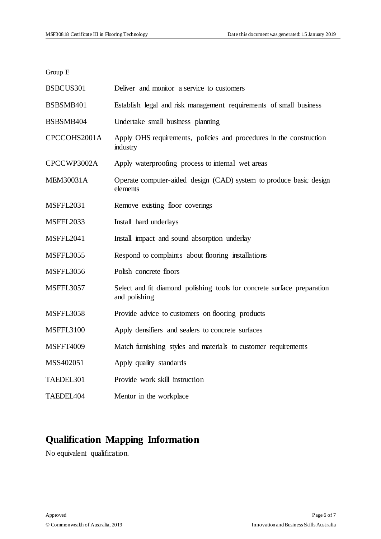Group E

| BSBCUS301             | Deliver and monitor a service to customers                                               |
|-----------------------|------------------------------------------------------------------------------------------|
| BSBSMB401             | Establish legal and risk management requirements of small business                       |
| BSBSMB404             | Undertake small business planning                                                        |
| CPCCOHS2001A          | Apply OHS requirements, policies and procedures in the construction<br>industry          |
| CPCCWP3002A           | Apply waterproofing process to internal wet areas                                        |
| <b>MEM30031A</b>      | Operate computer-aided design (CAD) system to produce basic design<br>elements           |
| <b>MSFFL2031</b>      | Remove existing floor coverings                                                          |
| <b>MSFFL2033</b>      | Install hard underlays                                                                   |
| <b>MSFFL2041</b>      | Install impact and sound absorption underlay                                             |
| <b>MSFFL3055</b>      | Respond to complaints about flooring installations                                       |
| <b>MSFFL3056</b>      | Polish concrete floors                                                                   |
| <b>MSFFL3057</b>      | Select and fit diamond polishing tools for concrete surface preparation<br>and polishing |
| <b>MSFFL3058</b>      | Provide advice to customers on flooring products                                         |
| <b>MSFFL3100</b>      | Apply densifiers and sealers to concrete surfaces                                        |
| <b>MSFFT4009</b>      | Match furnishing styles and materials to customer requirements                           |
| MSS402051             | Apply quality standards                                                                  |
| TAEDEL301             | Provide work skill instruction                                                           |
| TAEDEL <sub>404</sub> | Mentor in the workplace                                                                  |

# **Qualification Mapping Information**

No equivalent qualification.